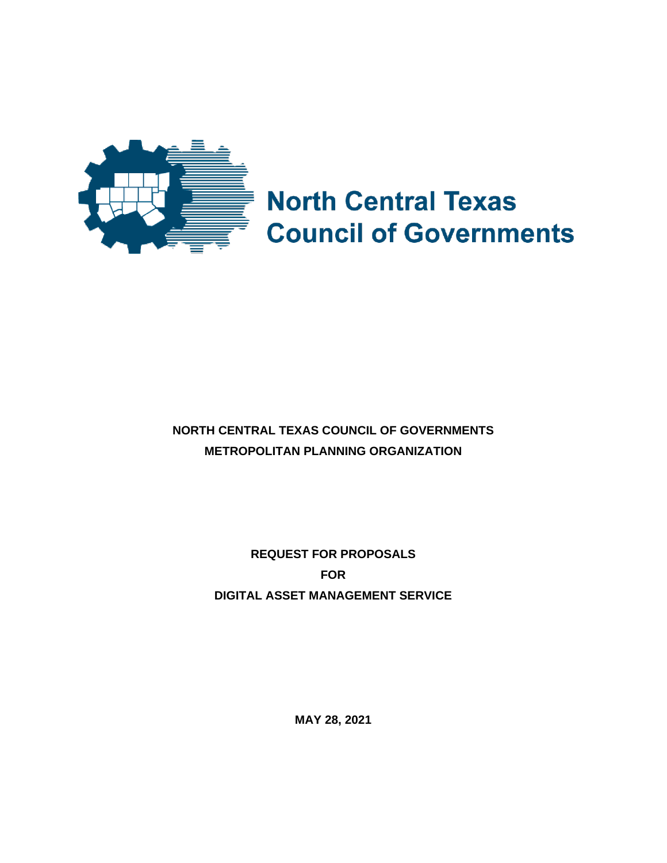

# **North Central Texas Council of Governments**

# **NORTH CENTRAL TEXAS COUNCIL OF GOVERNMENTS METROPOLITAN PLANNING ORGANIZATION**

**REQUEST FOR PROPOSALS FOR DIGITAL ASSET MANAGEMENT SERVICE**

**MAY 28, 2021**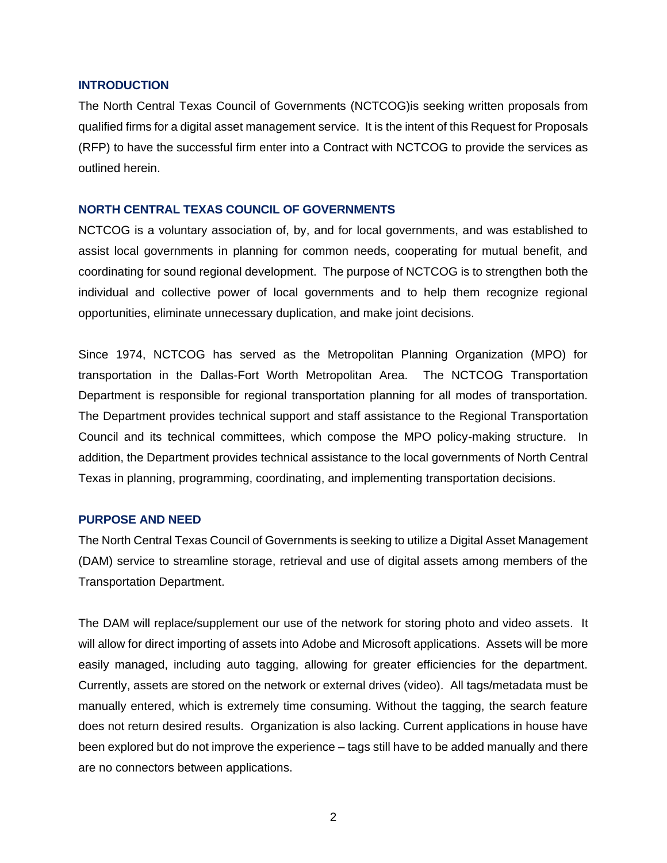#### **INTRODUCTION**

The North Central Texas Council of Governments (NCTCOG)is seeking written proposals from qualified firms for a digital asset management service. It is the intent of this Request for Proposals (RFP) to have the successful firm enter into a Contract with NCTCOG to provide the services as outlined herein.

# **NORTH CENTRAL TEXAS COUNCIL OF GOVERNMENTS**

NCTCOG is a voluntary association of, by, and for local governments, and was established to assist local governments in planning for common needs, cooperating for mutual benefit, and coordinating for sound regional development. The purpose of NCTCOG is to strengthen both the individual and collective power of local governments and to help them recognize regional opportunities, eliminate unnecessary duplication, and make joint decisions.

Since 1974, NCTCOG has served as the Metropolitan Planning Organization (MPO) for transportation in the Dallas-Fort Worth Metropolitan Area. The NCTCOG Transportation Department is responsible for regional transportation planning for all modes of transportation. The Department provides technical support and staff assistance to the Regional Transportation Council and its technical committees, which compose the MPO policy-making structure. In addition, the Department provides technical assistance to the local governments of North Central Texas in planning, programming, coordinating, and implementing transportation decisions.

# **PURPOSE AND NEED**

The North Central Texas Council of Governments is seeking to utilize a Digital Asset Management (DAM) service to streamline storage, retrieval and use of digital assets among members of the Transportation Department.

The DAM will replace/supplement our use of the network for storing photo and video assets. It will allow for direct importing of assets into Adobe and Microsoft applications. Assets will be more easily managed, including auto tagging, allowing for greater efficiencies for the department. Currently, assets are stored on the network or external drives (video). All tags/metadata must be manually entered, which is extremely time consuming. Without the tagging, the search feature does not return desired results. Organization is also lacking. Current applications in house have been explored but do not improve the experience – tags still have to be added manually and there are no connectors between applications.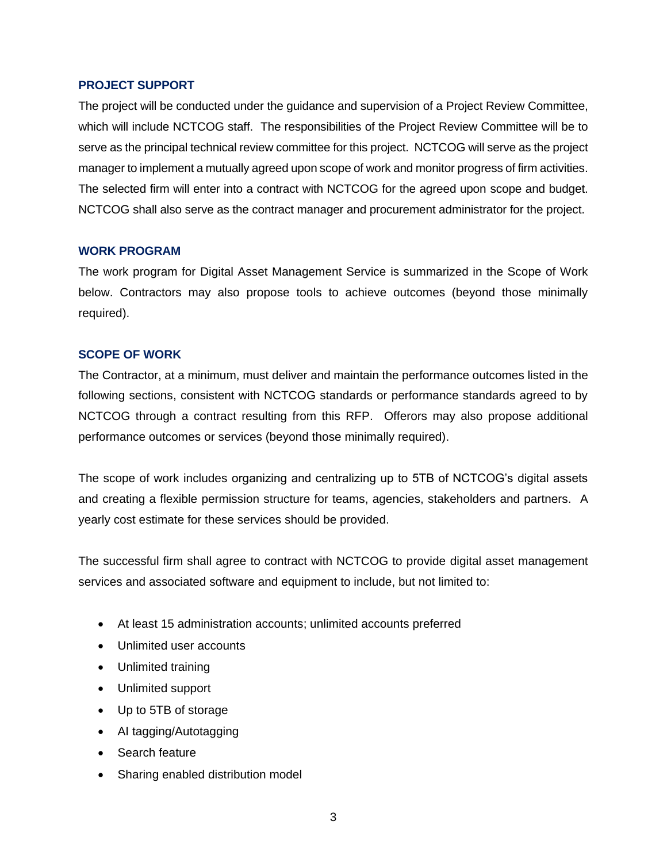# **PROJECT SUPPORT**

The project will be conducted under the guidance and supervision of a Project Review Committee, which will include NCTCOG staff. The responsibilities of the Project Review Committee will be to serve as the principal technical review committee for this project. NCTCOG will serve as the project manager to implement a mutually agreed upon scope of work and monitor progress of firm activities. The selected firm will enter into a contract with NCTCOG for the agreed upon scope and budget. NCTCOG shall also serve as the contract manager and procurement administrator for the project.

# **WORK PROGRAM**

The work program for Digital Asset Management Service is summarized in the Scope of Work below. Contractors may also propose tools to achieve outcomes (beyond those minimally required).

# **SCOPE OF WORK**

The Contractor, at a minimum, must deliver and maintain the performance outcomes listed in the following sections, consistent with NCTCOG standards or performance standards agreed to by NCTCOG through a contract resulting from this RFP. Offerors may also propose additional performance outcomes or services (beyond those minimally required).

The scope of work includes organizing and centralizing up to 5TB of NCTCOG's digital assets and creating a flexible permission structure for teams, agencies, stakeholders and partners. A yearly cost estimate for these services should be provided.

The successful firm shall agree to contract with NCTCOG to provide digital asset management services and associated software and equipment to include, but not limited to:

- At least 15 administration accounts; unlimited accounts preferred
- Unlimited user accounts
- Unlimited training
- Unlimited support
- Up to 5TB of storage
- AI tagging/Autotagging
- Search feature
- Sharing enabled distribution model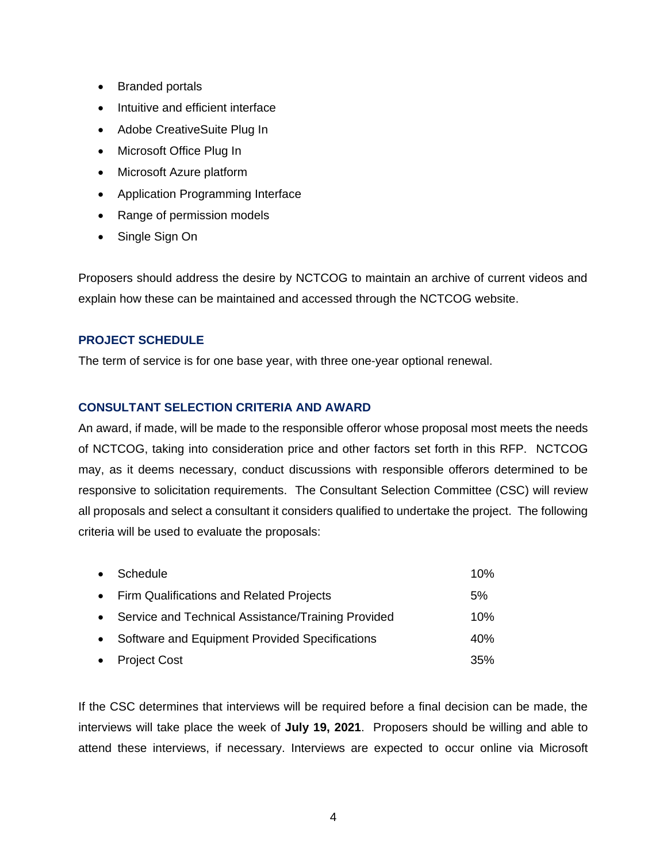- Branded portals
- Intuitive and efficient interface
- Adobe CreativeSuite Plug In
- Microsoft Office Plug In
- Microsoft Azure platform
- Application Programming Interface
- Range of permission models
- Single Sign On

Proposers should address the desire by NCTCOG to maintain an archive of current videos and explain how these can be maintained and accessed through the NCTCOG website.

# **PROJECT SCHEDULE**

The term of service is for one base year, with three one-year optional renewal.

# **CONSULTANT SELECTION CRITERIA AND AWARD**

An award, if made, will be made to the responsible offeror whose proposal most meets the needs of NCTCOG, taking into consideration price and other factors set forth in this RFP. NCTCOG may, as it deems necessary, conduct discussions with responsible offerors determined to be responsive to solicitation requirements. The Consultant Selection Committee (CSC) will review all proposals and select a consultant it considers qualified to undertake the project. The following criteria will be used to evaluate the proposals:

| • Schedule                                           | 10% |
|------------------------------------------------------|-----|
| • Firm Qualifications and Related Projects           | 5%  |
| • Service and Technical Assistance/Training Provided | 10% |
| • Software and Equipment Provided Specifications     | 40% |
| • Project Cost                                       | 35% |

If the CSC determines that interviews will be required before a final decision can be made, the interviews will take place the week of **July 19, 2021**. Proposers should be willing and able to attend these interviews, if necessary. Interviews are expected to occur online via Microsoft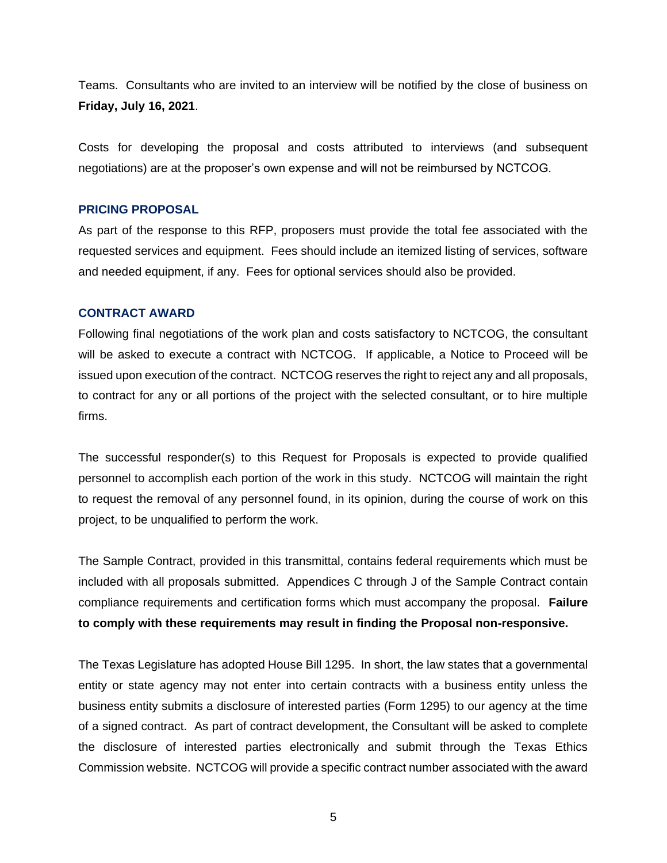Teams. Consultants who are invited to an interview will be notified by the close of business on **Friday, July 16, 2021**.

Costs for developing the proposal and costs attributed to interviews (and subsequent negotiations) are at the proposer's own expense and will not be reimbursed by NCTCOG.

# **PRICING PROPOSAL**

As part of the response to this RFP, proposers must provide the total fee associated with the requested services and equipment. Fees should include an itemized listing of services, software and needed equipment, if any. Fees for optional services should also be provided.

#### **CONTRACT AWARD**

Following final negotiations of the work plan and costs satisfactory to NCTCOG, the consultant will be asked to execute a contract with NCTCOG. If applicable, a Notice to Proceed will be issued upon execution of the contract. NCTCOG reserves the right to reject any and all proposals, to contract for any or all portions of the project with the selected consultant, or to hire multiple firms.

The successful responder(s) to this Request for Proposals is expected to provide qualified personnel to accomplish each portion of the work in this study. NCTCOG will maintain the right to request the removal of any personnel found, in its opinion, during the course of work on this project, to be unqualified to perform the work.

The Sample Contract, provided in this transmittal, contains federal requirements which must be included with all proposals submitted. Appendices C through J of the Sample Contract contain compliance requirements and certification forms which must accompany the proposal. **Failure to comply with these requirements may result in finding the Proposal non-responsive.**

The Texas Legislature has adopted House Bill 1295. In short, the law states that a governmental entity or state agency may not enter into certain contracts with a business entity unless the business entity submits a disclosure of interested parties (Form 1295) to our agency at the time of a signed contract. As part of contract development, the Consultant will be asked to complete the disclosure of interested parties electronically and submit through the Texas Ethics Commission website. NCTCOG will provide a specific contract number associated with the award

5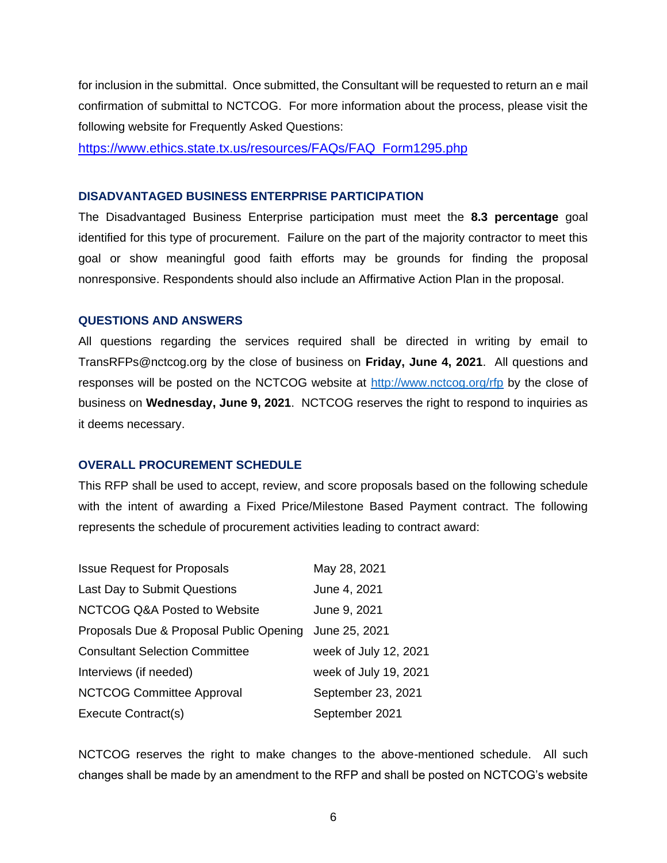for inclusion in the submittal. Once submitted, the Consultant will be requested to return an e mail confirmation of submittal to NCTCOG. For more information about the process, please visit the following website for Frequently Asked Questions:

[https://www.ethics.state.tx.us/resources/FAQs/FAQ\\_Form1295.php](https://gcc01.safelinks.protection.outlook.com/?url=https%3A%2F%2Fwww.ethics.state.tx.us%2Fresources%2FFAQs%2FFAQ_Form1295.php&data=02%7C01%7CEBeckham%40nctcog.org%7Cd917f96adf6b4f4f73db08d7e53c7788%7C2f5e7ebc22b04fbe934caabddb4e29b1%7C0%7C0%7C637229920245416697&sdata=th%2FRaZXfR5fw7kwIPCdtE1hGUsXDzy1lDkNJXsLY5cw%3D&reserved=0)

#### **DISADVANTAGED BUSINESS ENTERPRISE PARTICIPATION**

The Disadvantaged Business Enterprise participation must meet the **8.3 percentage** goal identified for this type of procurement. Failure on the part of the majority contractor to meet this goal or show meaningful good faith efforts may be grounds for finding the proposal nonresponsive. Respondents should also include an Affirmative Action Plan in the proposal.

#### **QUESTIONS AND ANSWERS**

All questions regarding the services required shall be directed in writing by email to TransRFPs@nctcog.org by the close of business on **Friday, June 4, 2021**. All questions and responses will be posted on the NCTCOG website at<http://www.nctcog.org/rfp> by the close of business on **Wednesday, June 9, 2021**. NCTCOG reserves the right to respond to inquiries as it deems necessary.

# **OVERALL PROCUREMENT SCHEDULE**

This RFP shall be used to accept, review, and score proposals based on the following schedule with the intent of awarding a Fixed Price/Milestone Based Payment contract. The following represents the schedule of procurement activities leading to contract award:

| <b>Issue Request for Proposals</b>                    | May 28, 2021          |
|-------------------------------------------------------|-----------------------|
| Last Day to Submit Questions                          | June 4, 2021          |
| <b>NCTCOG Q&amp;A Posted to Website</b>               | June 9, 2021          |
| Proposals Due & Proposal Public Opening June 25, 2021 |                       |
| <b>Consultant Selection Committee</b>                 | week of July 12, 2021 |
| Interviews (if needed)                                | week of July 19, 2021 |
| <b>NCTCOG Committee Approval</b>                      | September 23, 2021    |
| Execute Contract(s)                                   | September 2021        |

NCTCOG reserves the right to make changes to the above-mentioned schedule. All such changes shall be made by an amendment to the RFP and shall be posted on NCTCOG's website